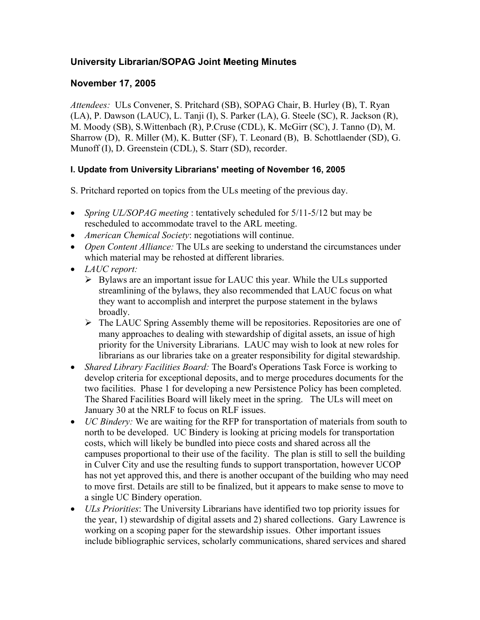# **University Librarian/SOPAG Joint Meeting Minutes**

## **November 17, 2005**

*Attendees:* ULs Convener, S. Pritchard (SB), SOPAG Chair, B. Hurley (B), T. Ryan (LA), P. Dawson (LAUC), L. Tanji (I), S. Parker (LA), G. Steele (SC), R. Jackson (R), M. Moody (SB), S.Wittenbach (R), P.Cruse (CDL), K. McGirr (SC), J. Tanno (D), M. Sharrow (D), R. Miller (M), K. Butter (SF), T. Leonard (B), B. Schottlaender (SD), G. Munoff (I), D. Greenstein (CDL), S. Starr (SD), recorder.

## **I. Update from University Librarians' meeting of November 16, 2005**

- S. Pritchard reported on topics from the ULs meeting of the previous day.
- *Spring UL/SOPAG meeting* : tentatively scheduled for 5/11-5/12 but may be rescheduled to accommodate travel to the ARL meeting.
- *American Chemical Society*: negotiations will continue.
- *Open Content Alliance:* The ULs are seeking to understand the circumstances under which material may be rehosted at different libraries.
- *LAUC report:* 
	- $\triangleright$  Bylaws are an important issue for LAUC this year. While the ULs supported streamlining of the bylaws, they also recommended that LAUC focus on what they want to accomplish and interpret the purpose statement in the bylaws broadly.
	- $\triangleright$  The LAUC Spring Assembly theme will be repositories. Repositories are one of many approaches to dealing with stewardship of digital assets, an issue of high priority for the University Librarians. LAUC may wish to look at new roles for librarians as our libraries take on a greater responsibility for digital stewardship.
- *Shared Library Facilities Board:* The Board's Operations Task Force is working to develop criteria for exceptional deposits, and to merge procedures documents for the two facilities. Phase 1 for developing a new Persistence Policy has been completed. The Shared Facilities Board will likely meet in the spring. The ULs will meet on January 30 at the NRLF to focus on RLF issues.
- *UC Bindery:* We are waiting for the RFP for transportation of materials from south to north to be developed. UC Bindery is looking at pricing models for transportation costs, which will likely be bundled into piece costs and shared across all the campuses proportional to their use of the facility. The plan is still to sell the building in Culver City and use the resulting funds to support transportation, however UCOP has not yet approved this, and there is another occupant of the building who may need to move first. Details are still to be finalized, but it appears to make sense to move to a single UC Bindery operation.
- *ULs Priorities*: The University Librarians have identified two top priority issues for the year, 1) stewardship of digital assets and 2) shared collections. Gary Lawrence is working on a scoping paper for the stewardship issues. Other important issues include bibliographic services, scholarly communications, shared services and shared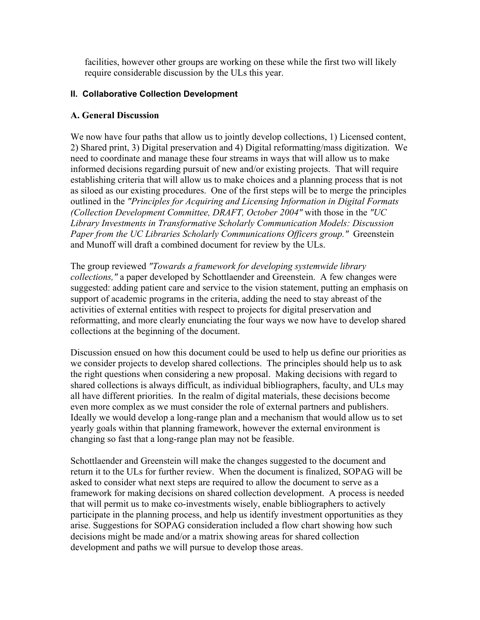facilities, however other groups are working on these while the first two will likely require considerable discussion by the ULs this year.

#### **II. Collaborative Collection Development**

#### **A. General Discussion**

We now have four paths that allow us to jointly develop collections, 1) Licensed content, 2) Shared print, 3) Digital preservation and 4) Digital reformatting/mass digitization. We need to coordinate and manage these four streams in ways that will allow us to make informed decisions regarding pursuit of new and/or existing projects. That will require establishing criteria that will allow us to make choices and a planning process that is not as siloed as our existing procedures. One of the first steps will be to merge the principles outlined in the *"Principles for Acquiring and Licensing Information in Digital Formats (Collection Development Committee, DRAFT, October 2004"* with those in the *"UC Library Investments in Transformative Scholarly Communication Models: Discussion Paper from the UC Libraries Scholarly Communications Officers group."* Greenstein and Munoff will draft a combined document for review by the ULs.

The group reviewed *"Towards a framework for developing systemwide library collections,"* a paper developed by Schottlaender and Greenstein. A few changes were suggested: adding patient care and service to the vision statement, putting an emphasis on support of academic programs in the criteria, adding the need to stay abreast of the activities of external entities with respect to projects for digital preservation and reformatting, and more clearly enunciating the four ways we now have to develop shared collections at the beginning of the document.

Discussion ensued on how this document could be used to help us define our priorities as we consider projects to develop shared collections. The principles should help us to ask the right questions when considering a new proposal. Making decisions with regard to shared collections is always difficult, as individual bibliographers, faculty, and ULs may all have different priorities. In the realm of digital materials, these decisions become even more complex as we must consider the role of external partners and publishers. Ideally we would develop a long-range plan and a mechanism that would allow us to set yearly goals within that planning framework, however the external environment is changing so fast that a long-range plan may not be feasible.

Schottlaender and Greenstein will make the changes suggested to the document and return it to the ULs for further review. When the document is finalized, SOPAG will be asked to consider what next steps are required to allow the document to serve as a framework for making decisions on shared collection development. A process is needed that will permit us to make co-investments wisely, enable bibliographers to actively participate in the planning process, and help us identify investment opportunities as they arise. Suggestions for SOPAG consideration included a flow chart showing how such decisions might be made and/or a matrix showing areas for shared collection development and paths we will pursue to develop those areas.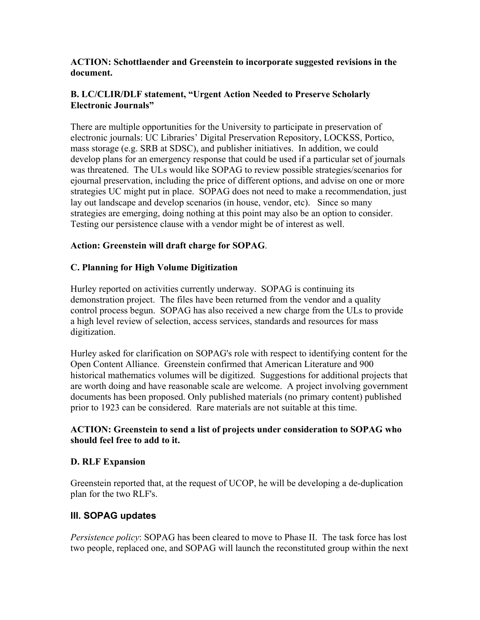#### **ACTION: Schottlaender and Greenstein to incorporate suggested revisions in the document.**

#### **B. LC/CLIR/DLF statement, "Urgent Action Needed to Preserve Scholarly Electronic Journals"**

There are multiple opportunities for the University to participate in preservation of electronic journals: UC Libraries' Digital Preservation Repository, LOCKSS, Portico, mass storage (e.g. SRB at SDSC), and publisher initiatives. In addition, we could develop plans for an emergency response that could be used if a particular set of journals was threatened. The ULs would like SOPAG to review possible strategies/scenarios for ejournal preservation, including the price of different options, and advise on one or more strategies UC might put in place. SOPAG does not need to make a recommendation, just lay out landscape and develop scenarios (in house, vendor, etc). Since so many strategies are emerging, doing nothing at this point may also be an option to consider. Testing our persistence clause with a vendor might be of interest as well.

## **Action: Greenstein will draft charge for SOPAG**.

## **C. Planning for High Volume Digitization**

Hurley reported on activities currently underway. SOPAG is continuing its demonstration project. The files have been returned from the vendor and a quality control process begun. SOPAG has also received a new charge from the ULs to provide a high level review of selection, access services, standards and resources for mass digitization.

Hurley asked for clarification on SOPAG's role with respect to identifying content for the Open Content Alliance. Greenstein confirmed that American Literature and 900 historical mathematics volumes will be digitized. Suggestions for additional projects that are worth doing and have reasonable scale are welcome. A project involving government documents has been proposed. Only published materials (no primary content) published prior to 1923 can be considered. Rare materials are not suitable at this time.

## **ACTION: Greenstein to send a list of projects under consideration to SOPAG who should feel free to add to it.**

## **D. RLF Expansion**

Greenstein reported that, at the request of UCOP, he will be developing a de-duplication plan for the two RLF's.

## **III. SOPAG updates**

*Persistence policy*: SOPAG has been cleared to move to Phase II. The task force has lost two people, replaced one, and SOPAG will launch the reconstituted group within the next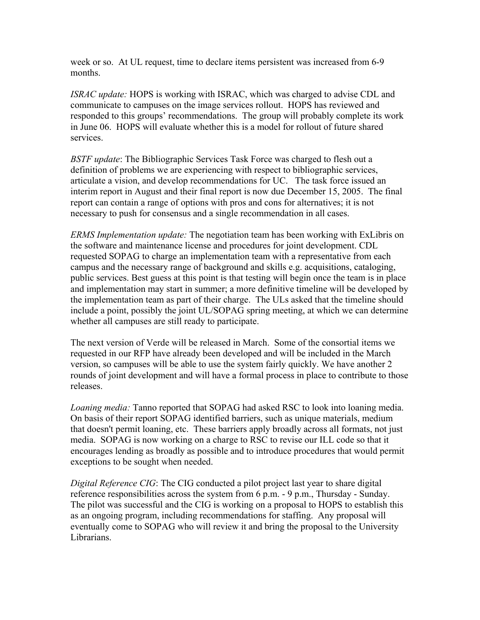week or so. At UL request, time to declare items persistent was increased from 6-9 months.

*ISRAC update:* HOPS is working with ISRAC, which was charged to advise CDL and communicate to campuses on the image services rollout. HOPS has reviewed and responded to this groups' recommendations. The group will probably complete its work in June 06. HOPS will evaluate whether this is a model for rollout of future shared services.

*BSTF update*: The Bibliographic Services Task Force was charged to flesh out a definition of problems we are experiencing with respect to bibliographic services, articulate a vision, and develop recommendations for UC. The task force issued an interim report in August and their final report is now due December 15, 2005. The final report can contain a range of options with pros and cons for alternatives; it is not necessary to push for consensus and a single recommendation in all cases.

*ERMS Implementation update:* The negotiation team has been working with ExLibris on the software and maintenance license and procedures for joint development. CDL requested SOPAG to charge an implementation team with a representative from each campus and the necessary range of background and skills e.g. acquisitions, cataloging, public services. Best guess at this point is that testing will begin once the team is in place and implementation may start in summer; a more definitive timeline will be developed by the implementation team as part of their charge. The ULs asked that the timeline should include a point, possibly the joint UL/SOPAG spring meeting, at which we can determine whether all campuses are still ready to participate.

The next version of Verde will be released in March. Some of the consortial items we requested in our RFP have already been developed and will be included in the March version, so campuses will be able to use the system fairly quickly. We have another 2 rounds of joint development and will have a formal process in place to contribute to those releases.

*Loaning media:* Tanno reported that SOPAG had asked RSC to look into loaning media. On basis of their report SOPAG identified barriers, such as unique materials, medium that doesn't permit loaning, etc. These barriers apply broadly across all formats, not just media. SOPAG is now working on a charge to RSC to revise our ILL code so that it encourages lending as broadly as possible and to introduce procedures that would permit exceptions to be sought when needed.

*Digital Reference CIG*: The CIG conducted a pilot project last year to share digital reference responsibilities across the system from 6 p.m. - 9 p.m., Thursday - Sunday. The pilot was successful and the CIG is working on a proposal to HOPS to establish this as an ongoing program, including recommendations for staffing. Any proposal will eventually come to SOPAG who will review it and bring the proposal to the University Librarians.